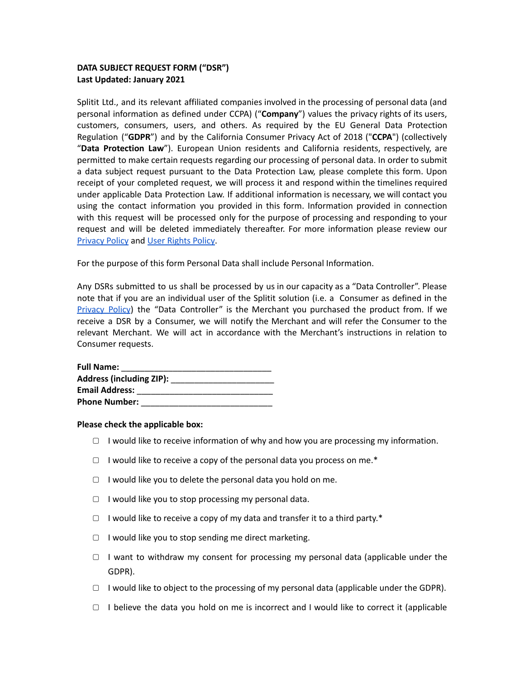# **DATA SUBJECT REQUEST FORM ("DSR") Last Updated: January 2021**

Splitit Ltd., and its relevant affiliated companies involved in the processing of personal data (and personal information as defined under CCPA) ("**Company**") values the privacy rights of its users, customers, consumers, users, and others. As required by the EU General Data Protection Regulation ("**GDPR**") and by the California Consumer Privacy Act of 2018 ("**CCPA**") (collectively "**Data Protection Law**"). European Union residents and California residents, respectively, are permitted to make certain requests regarding our processing of personal data. In order to submit a data subject request pursuant to the Data Protection Law, please complete this form. Upon receipt of your completed request, we will process it and respond within the timelines required under applicable Data Protection Law. If additional information is necessary, we will contact you using the contact information you provided in this form. Information provided in connection with this request will be processed only for the purpose of processing and responding to your request and will be deleted immediately thereafter. For more information please review our [Privacy](https://www.splitit.com/legals/splitit-privacy-policy/english/) Policy and User [Rights](https://www.splitit.com/legals/splitit-privacy-policy/user-rights-policy/) Policy.

For the purpose of this form Personal Data shall include Personal Information.

Any DSRs submitted to us shall be processed by us in our capacity as a "Data Controller". Please note that if you are an individual user of the Splitit solution (i.e. a Consumer as defined in the [Privacy](https://www.splitit.com/legals/splitit-privacy-policy/english/) Policy) the "Data Controller" is the Merchant you purchased the product from. If we receive a DSR by a Consumer, we will notify the Merchant and will refer the Consumer to the relevant Merchant. We will act in accordance with the Merchant's instructions in relation to Consumer requests.

| <b>Full Name:</b>               |  |
|---------------------------------|--|
| <b>Address (including ZIP):</b> |  |
| <b>Email Address:</b>           |  |
| <b>Phone Number:</b>            |  |

### **Please check the applicable box:**

- $\Box$  I would like to receive information of why and how you are processing my information.
- ▢ I would like to receive a copy of the personal data you process on me.\*
- ▢ I would like you to delete the personal data you hold on me.
- ▢ I would like you to stop processing my personal data.
- $\Box$  I would like to receive a copy of my data and transfer it to a third party.\*
- ▢ I would like you to stop sending me direct marketing.
- $\Box$  I want to withdraw my consent for processing my personal data (applicable under the GDPR).
- $\Box$  I would like to object to the processing of my personal data (applicable under the GDPR).
- ▢ I believe the data you hold on me is incorrect and I would like to correct it (applicable